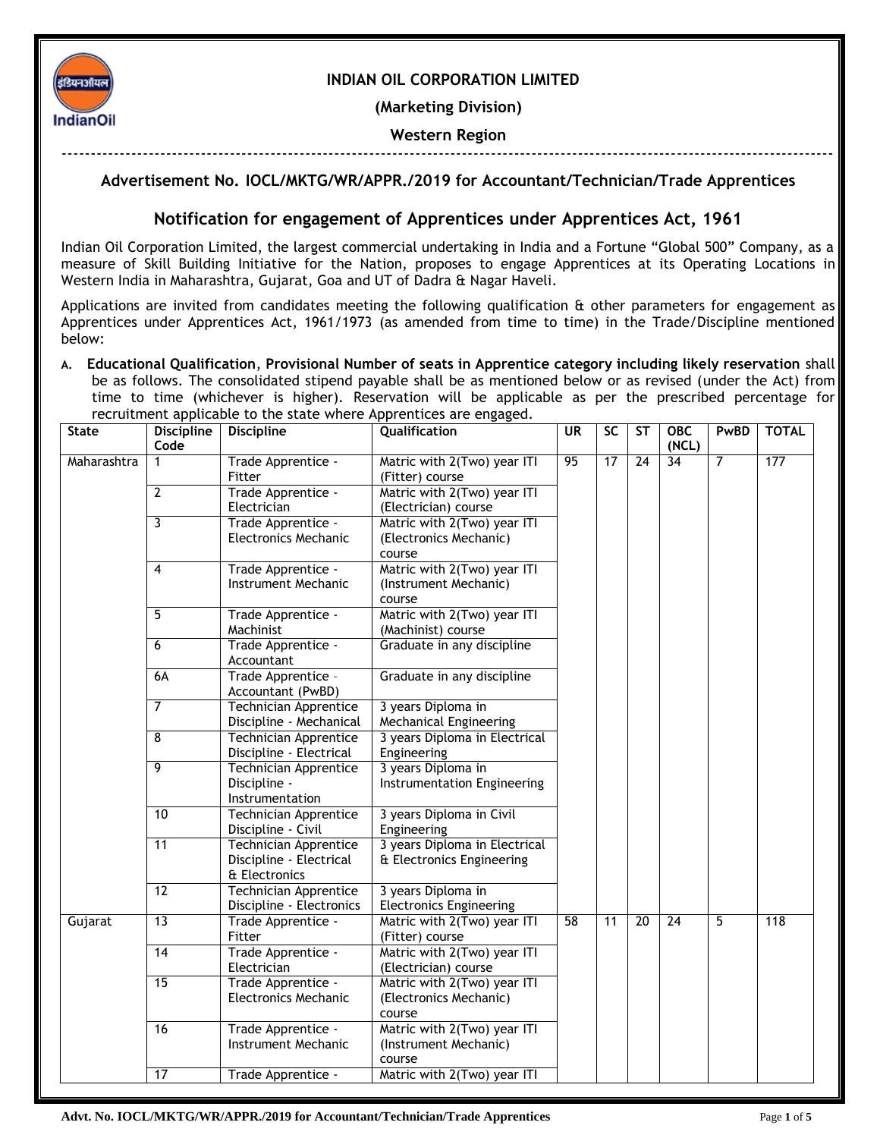

# **INDIAN OIL CORPORATION LIMITED**

**(Marketing Division)**

## **Western Region**

-------------------------------------------------------------------------------------------------------------------------------------

# **Advertisement No. IOCL/MKTG/WR/APPR./2019 for Accountant/Technician/Trade Apprentices**

## **Notification for engagement of Apprentices under Apprentices Act, 1961**

Indian Oil Corporation Limited, the largest commercial undertaking in India and a Fortune "Global 500" Company, as a measure of Skill Building Initiative for the Nation, proposes to engage Apprentices at its Operating Locations in Western India in Maharashtra, Gujarat, Goa and UT of Dadra & Nagar Haveli.

Applications are invited from candidates meeting the following qualification & other parameters for engagement as Apprentices under Apprentices Act, 1961/1973 (as amended from time to time) in the Trade/Discipline mentioned below:

**A. Educational Qualification**, **Provisional Number of seats in Apprentice category including likely reservation** shall be as follows. The consolidated stipend payable shall be as mentioned below or as revised (under the Act) from time to time (whichever is higher). Reservation will be applicable as per the prescribed percentage for recruitment applicable to the state where Apprentices are engaged.

| <b>State</b> | <b>Discipline</b> | <b>Discipline</b>                         | Qualification                  | <b>UR</b> | <b>SC</b>       | <b>ST</b>       | <b>OBC</b>      | PwBD           | <b>TOTAL</b> |
|--------------|-------------------|-------------------------------------------|--------------------------------|-----------|-----------------|-----------------|-----------------|----------------|--------------|
|              | Code              |                                           |                                |           |                 |                 | (NCL)           |                |              |
| Maharashtra  | $\mathbf 1$       | Trade Apprentice -                        | Matric with 2(Two) year ITI    | 95        | $\overline{17}$ | $\overline{24}$ | 34              | $\overline{7}$ | 177          |
|              | $\overline{2}$    | Fitter                                    | (Fitter) course                |           |                 |                 |                 |                |              |
|              |                   | Trade Apprentice -                        | Matric with 2(Two) year ITI    |           |                 |                 |                 |                |              |
|              |                   | Electrician                               | (Electrician) course           |           |                 |                 |                 |                |              |
|              | $\overline{3}$    | Trade Apprentice -                        | Matric with 2(Two) year ITI    |           |                 |                 |                 |                |              |
|              |                   | <b>Electronics Mechanic</b>               | (Electronics Mechanic)         |           |                 |                 |                 |                |              |
|              |                   |                                           | course                         |           |                 |                 |                 |                |              |
|              | $\overline{4}$    | Trade Apprentice -<br>Instrument Mechanic | Matric with 2(Two) year ITI    |           |                 |                 |                 |                |              |
|              |                   |                                           | (Instrument Mechanic)          |           |                 |                 |                 |                |              |
|              |                   |                                           | course                         |           |                 |                 |                 |                |              |
|              | 5                 | Trade Apprentice -                        | Matric with 2(Two) year ITI    |           |                 |                 |                 |                |              |
|              |                   | Machinist                                 | (Machinist) course             |           |                 |                 |                 |                |              |
|              | 6                 | Trade Apprentice -                        | Graduate in any discipline     |           |                 |                 |                 |                |              |
|              |                   | Accountant                                |                                |           |                 |                 |                 |                |              |
|              | 6A                | Trade Apprentice -<br>Accountant (PwBD)   | Graduate in any discipline     |           |                 |                 |                 |                |              |
|              | 7                 | <b>Technician Apprentice</b>              | 3 years Diploma in             |           |                 |                 |                 |                |              |
|              |                   | Discipline - Mechanical                   | Mechanical Engineering         |           |                 |                 |                 |                |              |
|              | $\overline{8}$    | <b>Technician Apprentice</b>              | 3 years Diploma in Electrical  |           |                 |                 |                 |                |              |
|              |                   | Discipline - Electrical                   | Engineering                    |           |                 |                 |                 |                |              |
|              | 9                 | <b>Technician Apprentice</b>              | 3 years Diploma in             |           |                 |                 |                 |                |              |
|              |                   | Discipline -                              | Instrumentation Engineering    |           |                 |                 |                 |                |              |
|              |                   | Instrumentation                           |                                |           |                 |                 |                 |                |              |
|              | 10                | <b>Technician Apprentice</b>              | 3 years Diploma in Civil       |           |                 |                 |                 |                |              |
|              |                   | Discipline - Civil                        | Engineering                    |           |                 |                 |                 |                |              |
|              | 11                | <b>Technician Apprentice</b>              | 3 years Diploma in Electrical  |           |                 |                 |                 |                |              |
|              |                   | Discipline - Electrical                   | & Electronics Engineering      |           |                 |                 |                 |                |              |
|              |                   | & Electronics                             |                                |           |                 |                 |                 |                |              |
|              | 12                | <b>Technician Apprentice</b>              | 3 years Diploma in             |           |                 |                 |                 |                |              |
|              |                   | Discipline - Electronics                  | <b>Electronics Engineering</b> |           |                 |                 |                 |                |              |
| Gujarat      | 13                | Trade Apprentice -                        | Matric with 2(Two) year ITI    | 58        | 11              | $\overline{20}$ | $\overline{24}$ | $\overline{5}$ | 118          |
|              |                   | Fitter                                    | (Fitter) course                |           |                 |                 |                 |                |              |
|              | 14                | Trade Apprentice -                        | Matric with 2(Two) year ITI    |           |                 |                 |                 |                |              |
|              |                   | Electrician                               | (Electrician) course           |           |                 |                 |                 |                |              |
|              | 15                | Trade Apprentice -                        | Matric with 2(Two) year ITI    |           |                 |                 |                 |                |              |
|              |                   | <b>Electronics Mechanic</b>               | (Electronics Mechanic)         |           |                 |                 |                 |                |              |
|              |                   |                                           | course                         |           |                 |                 |                 |                |              |
|              | 16                | Trade Apprentice -                        | Matric with 2(Two) year ITI    |           |                 |                 |                 |                |              |
|              |                   | Instrument Mechanic                       | (Instrument Mechanic)          |           |                 |                 |                 |                |              |
|              |                   |                                           | course                         |           |                 |                 |                 |                |              |
|              | 17                | Trade Apprentice -                        | Matric with 2(Two) year ITI    |           |                 |                 |                 |                |              |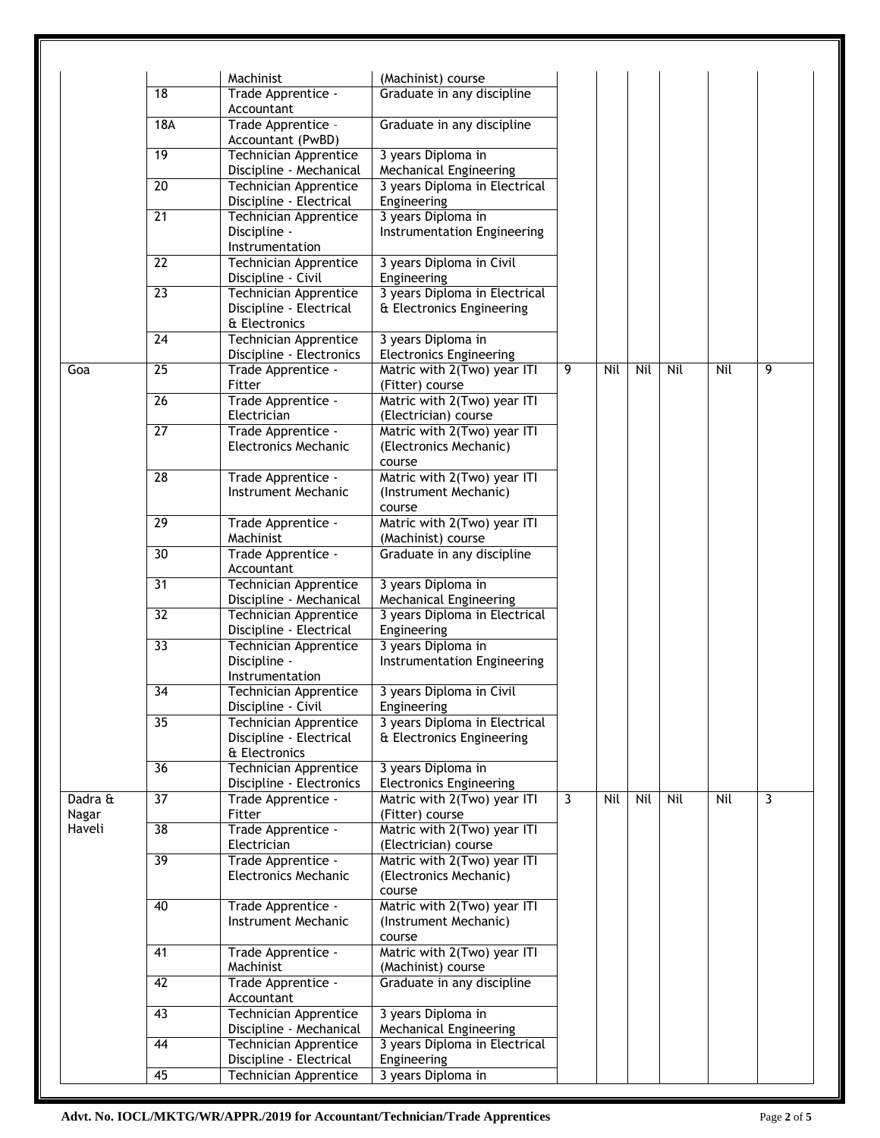|                            |                 | Machinist                                                         | (Machinist) course                                              |          |            |     |     |     |   |
|----------------------------|-----------------|-------------------------------------------------------------------|-----------------------------------------------------------------|----------|------------|-----|-----|-----|---|
|                            | 18              | Trade Apprentice -<br>Accountant                                  | Graduate in any discipline                                      |          |            |     |     |     |   |
|                            | 18A             | Trade Apprentice -<br>Accountant (PwBD)                           | Graduate in any discipline                                      |          |            |     |     |     |   |
|                            | 19              | <b>Technician Apprentice</b>                                      | 3 years Diploma in                                              |          |            |     |     |     |   |
|                            |                 | Discipline - Mechanical                                           | Mechanical Engineering                                          |          |            |     |     |     |   |
|                            | 20              | <b>Technician Apprentice</b><br>Discipline - Electrical           | 3 years Diploma in Electrical<br>Engineering                    |          |            |     |     |     |   |
|                            | $\overline{21}$ | <b>Technician Apprentice</b>                                      | 3 years Diploma in                                              |          |            |     |     |     |   |
|                            |                 | Discipline -<br>Instrumentation                                   | Instrumentation Engineering                                     |          |            |     |     |     |   |
|                            | $\overline{22}$ | <b>Technician Apprentice</b><br>Discipline - Civil                | 3 years Diploma in Civil<br>Engineering                         |          |            |     |     |     |   |
|                            | $\overline{23}$ | Technician Apprentice<br>Discipline - Electrical<br>& Electronics | 3 years Diploma in Electrical<br>& Electronics Engineering      | 9<br>Nil |            |     |     |     |   |
|                            | 24              | <b>Technician Apprentice</b>                                      | 3 years Diploma in                                              |          |            |     |     |     |   |
| Goa                        | $\overline{25}$ | Discipline - Electronics<br>Trade Apprentice -                    | <b>Electronics Engineering</b><br>Matric with 2(Two) year ITI   |          | <b>Nil</b> | Nil | Nil | 9   |   |
|                            |                 | Fitter                                                            | (Fitter) course                                                 |          |            |     |     |     |   |
|                            | $\overline{26}$ | Trade Apprentice -<br>Electrician                                 | Matric with 2(Two) year ITI<br>(Electrician) course             |          |            |     |     |     |   |
|                            | $\overline{27}$ | Trade Apprentice -                                                | Matric with 2(Two) year ITI                                     |          |            |     |     |     |   |
|                            |                 | <b>Electronics Mechanic</b>                                       | (Electronics Mechanic)<br>course                                |          |            |     |     |     |   |
|                            | 28              | Trade Apprentice -                                                | Matric with 2(Two) year ITI                                     |          |            |     |     |     |   |
|                            |                 | Instrument Mechanic                                               | (Instrument Mechanic)                                           |          |            |     |     |     |   |
|                            | 29              |                                                                   | course                                                          |          |            |     |     |     |   |
|                            |                 | Trade Apprentice -<br>Machinist                                   | Matric with 2(Two) year ITI<br>(Machinist) course               |          |            |     |     |     |   |
|                            | 30              | Trade Apprentice -<br>Accountant                                  | Graduate in any discipline                                      |          |            |     |     |     |   |
|                            | 31              | <b>Technician Apprentice</b><br>Discipline - Mechanical           | 3 years Diploma in<br><b>Mechanical Engineering</b>             |          |            |     |     |     |   |
|                            | $\overline{32}$ | <b>Technician Apprentice</b><br>Discipline - Electrical           | 3 years Diploma in Electrical<br>Engineering                    |          |            |     |     |     |   |
|                            | 33              | <b>Technician Apprentice</b>                                      | 3 years Diploma in                                              |          |            |     |     |     |   |
|                            |                 | Discipline -<br>Instrumentation                                   | Instrumentation Engineering                                     |          |            |     |     |     |   |
|                            | 34              | <b>Technician Apprentice</b><br>Discipline - Civil                | 3 years Diploma in Civil<br>Engineering                         |          |            |     |     |     |   |
|                            | 35              | <b>Technician Apprentice</b><br>Discipline - Electrical           | 3 years Diploma in Electrical<br>& Electronics Engineering      |          |            |     |     |     |   |
|                            |                 | & Electronics                                                     |                                                                 |          |            |     |     |     |   |
|                            | 36              | <b>Technician Apprentice</b>                                      | 3 years Diploma in                                              |          |            |     |     |     |   |
|                            |                 | Discipline - Electronics                                          | <b>Electronics Engineering</b>                                  |          |            |     |     |     |   |
| Dadra &<br>Nagar<br>Haveli | 37              | Trade Apprentice -<br>Fitter                                      | Matric with 2(Two) year ITI<br>(Fitter) course                  | 3        | Nil        | Nil | Nil | Nil | 3 |
|                            | 38              | Trade Apprentice -<br>Electrician                                 | Matric with 2(Two) year ITI<br>(Electrician) course             |          |            |     |     |     |   |
|                            | 39              | Trade Apprentice -<br><b>Electronics Mechanic</b>                 | Matric with 2(Two) year ITI<br>(Electronics Mechanic)<br>course |          |            |     |     |     |   |
|                            | 40              | Trade Apprentice -<br>Instrument Mechanic                         | Matric with 2(Two) year ITI<br>(Instrument Mechanic)<br>course  |          |            |     |     |     |   |
|                            | 41              | Trade Apprentice -<br>Machinist                                   | Matric with 2(Two) year ITI<br>(Machinist) course               |          |            |     |     |     |   |
|                            | 42              | Trade Apprentice -<br>Accountant                                  | Graduate in any discipline                                      |          |            |     |     |     |   |
|                            | $\overline{43}$ | <b>Technician Apprentice</b><br>Discipline - Mechanical           | 3 years Diploma in<br>Mechanical Engineering                    |          |            |     |     |     |   |
|                            | 44              | Technician Apprentice                                             | 3 years Diploma in Electrical                                   |          |            |     |     |     |   |
|                            |                 | Discipline - Electrical                                           | Engineering                                                     |          |            |     |     |     |   |
|                            | 45              | <b>Technician Apprentice</b>                                      | 3 years Diploma in                                              |          |            |     |     |     |   |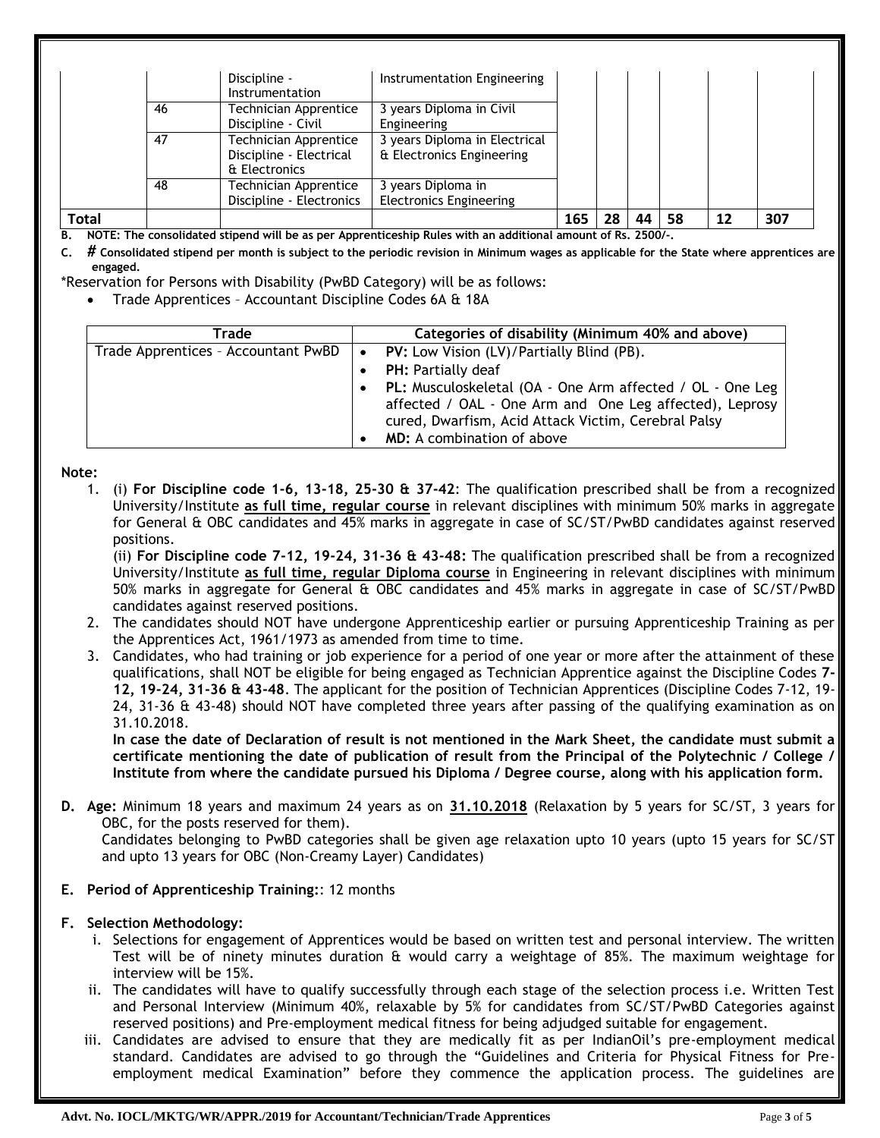| <b>Total</b> |    |                              |                                | 165 | 28 | 44 | 58 | 12 | 307 |
|--------------|----|------------------------------|--------------------------------|-----|----|----|----|----|-----|
|              |    | Discipline - Electronics     | <b>Electronics Engineering</b> |     |    |    |    |    |     |
|              | 48 | Technician Apprentice        | 3 years Diploma in             |     |    |    |    |    |     |
|              |    | & Electronics                |                                |     |    |    |    |    |     |
|              |    | Discipline - Electrical      | & Electronics Engineering      |     |    |    |    |    |     |
|              | 47 | <b>Technician Apprentice</b> | 3 years Diploma in Electrical  |     |    |    |    |    |     |
|              |    | Discipline - Civil           | Engineering                    |     |    |    |    |    |     |
|              | 46 | <b>Technician Apprentice</b> | 3 years Diploma in Civil       |     |    |    |    |    |     |
|              |    | Instrumentation              |                                |     |    |    |    |    |     |
|              |    | Discipline -                 | Instrumentation Engineering    |     |    |    |    |    |     |

**B. NOTE: The consolidated stipend will be as per Apprenticeship Rules with an additional amount of Rs. 2500/-.** 

**C. # Consolidated stipend per month is subject to the periodic revision in Minimum wages as applicable for the State where apprentices are engaged.**

- \*Reservation for Persons with Disability (PwBD Category) will be as follows:
	- Trade Apprentices Accountant Discipline Codes 6A & 18A

| Trade                               |           | Categories of disability (Minimum 40% and above)                                                                                                                            |
|-------------------------------------|-----------|-----------------------------------------------------------------------------------------------------------------------------------------------------------------------------|
| Trade Apprentices - Accountant PwBD |           | $\bullet$ PV: Low Vision (LV)/Partially Blind (PB).                                                                                                                         |
|                                     |           | <b>PH:</b> Partially deaf                                                                                                                                                   |
|                                     | $\bullet$ | PL: Musculoskeletal (OA - One Arm affected / OL - One Leg<br>affected / OAL - One Arm and One Leg affected), Leprosy<br>cured, Dwarfism, Acid Attack Victim, Cerebral Palsy |
|                                     |           | <b>MD:</b> A combination of above                                                                                                                                           |

#### **Note:**

1. (i) **For Discipline code 1-6, 13-18, 25-30 & 37-42**: The qualification prescribed shall be from a recognized University/Institute **as full time, regular course** in relevant disciplines with minimum 50% marks in aggregate for General & OBC candidates and 45% marks in aggregate in case of SC/ST/PwBD candidates against reserved positions.

(ii) **For Discipline code 7-12, 19-24, 31-36 & 43-48:** The qualification prescribed shall be from a recognized University/Institute **as full time, regular Diploma course** in Engineering in relevant disciplines with minimum 50% marks in aggregate for General & OBC candidates and 45% marks in aggregate in case of SC/ST/PwBD candidates against reserved positions.

- 2. The candidates should NOT have undergone Apprenticeship earlier or pursuing Apprenticeship Training as per the Apprentices Act, 1961/1973 as amended from time to time.
- 3. Candidates, who had training or job experience for a period of one year or more after the attainment of these qualifications, shall NOT be eligible for being engaged as Technician Apprentice against the Discipline Codes **7- 12, 19-24, 31-36 & 43-48**. The applicant for the position of Technician Apprentices (Discipline Codes 7-12, 19- 24, 31-36 & 43-48) should NOT have completed three years after passing of the qualifying examination as on 31.10.2018.

**In case the date of Declaration of result is not mentioned in the Mark Sheet, the candidate must submit a certificate mentioning the date of publication of result from the Principal of the Polytechnic / College / Institute from where the candidate pursued his Diploma / Degree course, along with his application form.**

**D. Age:** Minimum 18 years and maximum 24 years as on **31.10.2018** (Relaxation by 5 years for SC/ST, 3 years for OBC, for the posts reserved for them).

Candidates belonging to PwBD categories shall be given age relaxation upto 10 years (upto 15 years for SC/ST and upto 13 years for OBC (Non-Creamy Layer) Candidates)

**E. Period of Apprenticeship Training:**: 12 months

## **F. Selection Methodology:**

- i. Selections for engagement of Apprentices would be based on written test and personal interview. The written Test will be of ninety minutes duration & would carry a weightage of 85%. The maximum weightage for interview will be 15%.
- ii. The candidates will have to qualify successfully through each stage of the selection process i.e. Written Test and Personal Interview (Minimum 40%, relaxable by 5% for candidates from SC/ST/PwBD Categories against reserved positions) and Pre-employment medical fitness for being adjudged suitable for engagement.
- iii. Candidates are advised to ensure that they are medically fit as per IndianOil's pre-employment medical standard. Candidates are advised to go through the "Guidelines and Criteria for Physical Fitness for Preemployment medical Examination" before they commence the application process. The guidelines are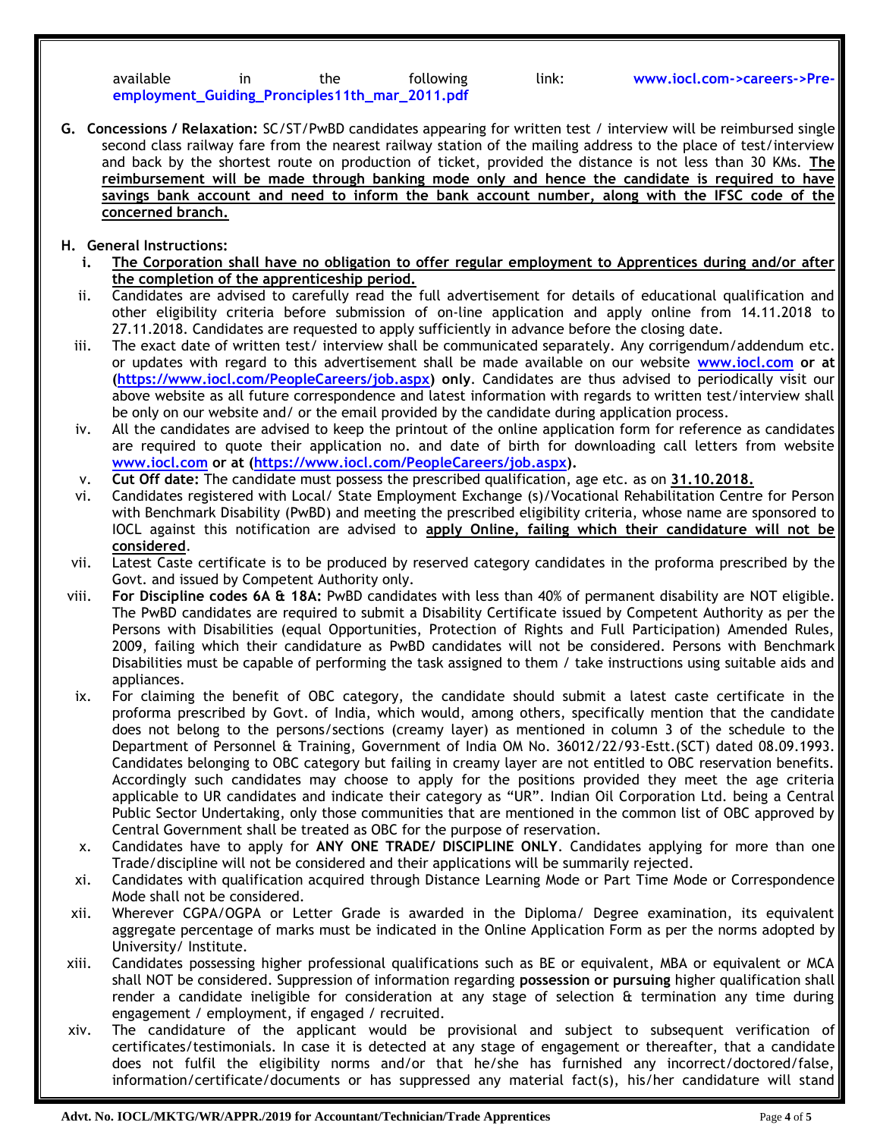| available | ın | the                                            | following |
|-----------|----|------------------------------------------------|-----------|
|           |    | employment_Guiding_Pronciples11th_mar_2011.pdf |           |

- **G. Concessions / Relaxation:** SC/ST/PwBD candidates appearing for written test / interview will be reimbursed single second class railway fare from the nearest railway station of the mailing address to the place of test/interview and back by the shortest route on production of ticket, provided the distance is not less than 30 KMs. **The reimbursement will be made through banking mode only and hence the candidate is required to have savings bank account and need to inform the bank account number, along with the IFSC code of the concerned branch.**
- **H. General Instructions:**
	- **i. The Corporation shall have no obligation to offer regular employment to Apprentices during and/or after the completion of the apprenticeship period.**
	- ii. Candidates are advised to carefully read the full advertisement for details of educational qualification and other eligibility criteria before submission of on-line application and apply online from 14.11.2018 to 27.11.2018. Candidates are requested to apply sufficiently in advance before the closing date.
	- iii. The exact date of written test/ interview shall be communicated separately. Any corrigendum/addendum etc. or updates with regard to this advertisement shall be made available on our website **[www.iocl.com](http://www.iocl.com/) or at (https://www.iocl.com/PeopleCareers/job.aspx) only**. Candidates are thus advised to periodically visit our above website as all future correspondence and latest information with regards to written test/interview shall be only on our website and/ or the email provided by the candidate during application process.
	- iv. All the candidates are advised to keep the printout of the online application form for reference as candidates are required to quote their application no. and date of birth for downloading call letters from website **[www.iocl.com](http://www.iocl.com/) or at (https://www.iocl.com/PeopleCareers/job.aspx).**
	- v. **Cut Off date:** The candidate must possess the prescribed qualification, age etc. as on **31.10.2018.**
	- vi. Candidates registered with Local/ State Employment Exchange (s)/Vocational Rehabilitation Centre for Person with Benchmark Disability (PwBD) and meeting the prescribed eligibility criteria, whose name are sponsored to IOCL against this notification are advised to **apply Online, failing which their candidature will not be considered**.
	- vii. Latest Caste certificate is to be produced by reserved category candidates in the proforma prescribed by the Govt. and issued by Competent Authority only.
- viii. **For Discipline codes 6A & 18A:** PwBD candidates with less than 40% of permanent disability are NOT eligible. The PwBD candidates are required to submit a Disability Certificate issued by Competent Authority as per the Persons with Disabilities (equal Opportunities, Protection of Rights and Full Participation) Amended Rules, 2009, failing which their candidature as PwBD candidates will not be considered. Persons with Benchmark Disabilities must be capable of performing the task assigned to them / take instructions using suitable aids and appliances.
- ix. For claiming the benefit of OBC category, the candidate should submit a latest caste certificate in the proforma prescribed by Govt. of India, which would, among others, specifically mention that the candidate does not belong to the persons/sections (creamy layer) as mentioned in column 3 of the schedule to the Department of Personnel & Training, Government of India OM No. 36012/22/93-Estt.(SCT) dated 08.09.1993. Candidates belonging to OBC category but failing in creamy layer are not entitled to OBC reservation benefits. Accordingly such candidates may choose to apply for the positions provided they meet the age criteria applicable to UR candidates and indicate their category as "UR". Indian Oil Corporation Ltd. being a Central Public Sector Undertaking, only those communities that are mentioned in the common list of OBC approved by Central Government shall be treated as OBC for the purpose of reservation.
- x. Candidates have to apply for **ANY ONE TRADE/ DISCIPLINE ONLY**. Candidates applying for more than one Trade/discipline will not be considered and their applications will be summarily rejected.
- xi. Candidates with qualification acquired through Distance Learning Mode or Part Time Mode or Correspondence Mode shall not be considered.
- xii. Wherever CGPA/OGPA or Letter Grade is awarded in the Diploma/ Degree examination, its equivalent aggregate percentage of marks must be indicated in the Online Application Form as per the norms adopted by University/ Institute.
- xiii. Candidates possessing higher professional qualifications such as BE or equivalent, MBA or equivalent or MCA shall NOT be considered. Suppression of information regarding **possession or pursuing** higher qualification shall render a candidate ineligible for consideration at any stage of selection & termination any time during engagement / employment, if engaged / recruited.
- xiv. The candidature of the applicant would be provisional and subject to subsequent verification of certificates/testimonials. In case it is detected at any stage of engagement or thereafter, that a candidate does not fulfil the eligibility norms and/or that he/she has furnished any incorrect/doctored/false, information/certificate/documents or has suppressed any material fact(s), his/her candidature will stand